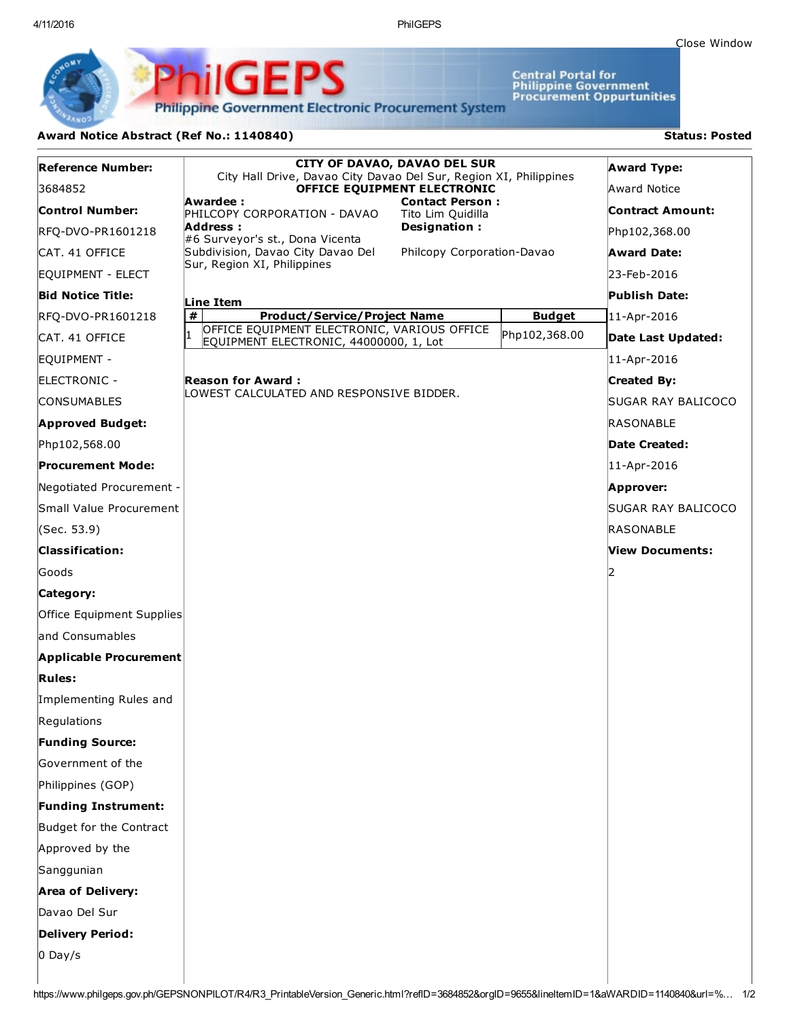Close [Window](javascript:window.close();)

Central Portal for<br>Philippine Government<br>Procurement Oppurtunities

**Philippine Government Electronic Procurement System** 

PS

## Award Notice Abstract (Ref No.: 1140840) Status: Posted

PhilGEI

| <b>Reference Number:</b>   | <b>CITY OF DAVAO, DAVAO DEL SUR</b><br>City Hall Drive, Davao City Davao Del Sur, Region XI, Philippines |                  | <b>Award Type:</b> |
|----------------------------|----------------------------------------------------------------------------------------------------------|------------------|--------------------|
| 3684852                    | OFFICE EQUIPMENT ELECTRONIC                                                                              | Award Notice     |                    |
| Control Number:            | Awardee:<br><b>Contact Person:</b><br>PHILCOPY CORPORATION - DAVAO<br>Tito Lim Quidilla                  | Contract Amount: |                    |
| RFQ-DVO-PR1601218          | Address :<br>Designation:<br>#6 Surveyor's st., Dona Vicenta                                             | Php102,368.00    |                    |
| CAT. 41 OFFICE             | Subdivision, Davao City Davao Del<br>Philcopy Corporation-Davao                                          | Award Date:      |                    |
| EQUIPMENT - ELECT          | Sur, Region XI, Philippines                                                                              | 23-Feb-2016      |                    |
| <b>Bid Notice Title:</b>   | Line Item                                                                                                |                  | Publish Date:      |
| RFQ-DVO-PR1601218          | $\pmb{\#}$<br><b>Product/Service/Project Name</b>                                                        | <b>Budget</b>    | 11-Apr-2016        |
| CAT. 41 OFFICE             | OFFICE EQUIPMENT ELECTRONIC, VARIOUS OFFICE<br>$\mathbf{1}$<br>EQUIPMENT ELECTRONIC, 44000000, 1, Lot    | Php102,368.00    | Date Last Updated: |
| EQUIPMENT -                |                                                                                                          |                  | 11-Apr-2016        |
| ELECTRONIC -               | <b>Reason for Award:</b>                                                                                 |                  | <b>Created By:</b> |
| <b>CONSUMABLES</b>         | LOWEST CALCULATED AND RESPONSIVE BIDDER.                                                                 |                  | SUGAR RAY BALICOCO |
| <b>Approved Budget:</b>    |                                                                                                          |                  | <b>RASONABLE</b>   |
| Php102,568.00              |                                                                                                          |                  | Date Created:      |
| <b>Procurement Mode:</b>   |                                                                                                          |                  | 11-Apr-2016        |
| Negotiated Procurement -   |                                                                                                          |                  | Approver:          |
| Small Value Procurement    |                                                                                                          |                  | SUGAR RAY BALICOCO |
| (Sec. 53.9)                |                                                                                                          |                  | RASONABLE          |
| <b>Classification:</b>     |                                                                                                          |                  | View Documents:    |
| Goods                      |                                                                                                          |                  | כו                 |
| Category:                  |                                                                                                          |                  |                    |
| Office Equipment Supplies  |                                                                                                          |                  |                    |
| and Consumables            |                                                                                                          |                  |                    |
| Applicable Procurement     |                                                                                                          |                  |                    |
| <b>Rules:</b>              |                                                                                                          |                  |                    |
| Implementing Rules and     |                                                                                                          |                  |                    |
| Regulations                |                                                                                                          |                  |                    |
| <b>Funding Source:</b>     |                                                                                                          |                  |                    |
| Government of the          |                                                                                                          |                  |                    |
| Philippines (GOP)          |                                                                                                          |                  |                    |
| <b>Funding Instrument:</b> |                                                                                                          |                  |                    |
| Budget for the Contract    |                                                                                                          |                  |                    |
| Approved by the            |                                                                                                          |                  |                    |
| Sanggunian                 |                                                                                                          |                  |                    |
| <b>Area of Delivery:</b>   |                                                                                                          |                  |                    |
| Davao Del Sur              |                                                                                                          |                  |                    |
| <b>Delivery Period:</b>    |                                                                                                          |                  |                    |
| $0$ Day/s                  |                                                                                                          |                  |                    |
|                            |                                                                                                          |                  |                    |